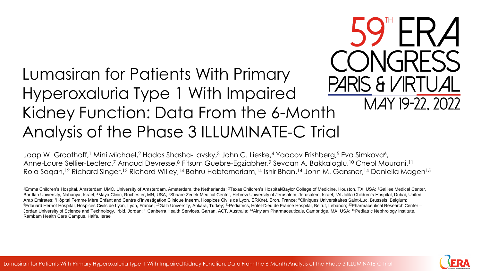#### Lumasiran for Patients With Primary PARIS & VIRTUAL Hyperoxaluria Type 1 With Impaired Kidney Function: Data From the 6-Month Analysis of the Phase 3 ILLUMINATE-C Trial

Jaap W. Groothoff,1 Mini Michael,2 Hadas Shasha-Lavsky,3 John C. Lieske,4 Yaacov Frishberg,5 Eva Simkova6, Anne-Laure Sellier-Leclerc,<sup>7</sup> Arnaud Devresse,<sup>8</sup> Fitsum Guebre-Egziabher,<sup>9</sup> Sevcan A. Bakkaloglu,<sup>10</sup> Chebl Mourani,<sup>11</sup> Rola Sagan,<sup>12</sup> Richard Singer,<sup>13</sup> Richard Willey,<sup>14</sup> Bahru Habtemariam,<sup>14</sup> Ishir Bhan,<sup>14</sup> John M. Gansner,<sup>14</sup> Daniella Magen<sup>15</sup>

<sup>1</sup>Emma Children's Hospital, Amsterdam UMC, University of Amsterdam, Amsterdam, the Netherlands; <sup>2</sup>Texas Children's Hospital/Baylor College of Medicine, Houston, TX, USA; <sup>3</sup>Galilee Medical Center, Bar Ilan University, Nahariya, Israel; <sup>4</sup>Mayo Clinic, Rochester, MN, USA; <sup>5</sup>Shaare Zedek Medical Center, Hebrew University of Jerusalem, Jerusalem, Israel; <sup>6</sup>Al Jalila Children's Hospital, Dubai, United Arab Emirates; 7Hôpital Femme Mère Enfant and Centre d'Investigation Clinique Inserm, Hospices Civils de Lyon, ERKnet, Bron, France; <sup>8</sup>Cliniques Universitaires Saint-Luc, Brussels, Belgium; <sup>9</sup>Edouard Herriot Hospital, Hospices Civils de Lyon, Lyon, France; <sup>10</sup>Gazi University, Ankara, Turkey; <sup>11</sup>Pediatrics, Hôtel-Dieu de France Hospital, Beirut, Lebanon; <sup>12</sup>Pharmaceutical Research Center – Jordan University of Science and Technology, Irbid, Jordan; <sup>13</sup>Canberra Health Services, Garran, ACT, Australia; <sup>14</sup>Alnylam Pharmaceuticals, Cambridge, MA, USA; <sup>15</sup>Pediatric Nephrology Institute, Rambam Health Care Campus, Haifa, Israel



MAY 19-22, 2022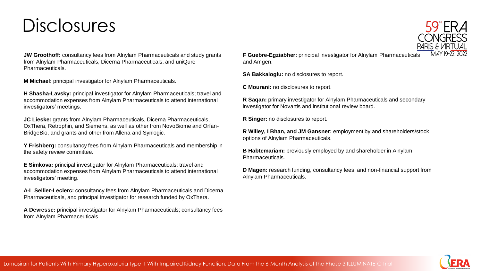### Disclosures

**JW Groothoff:** consultancy fees from Alnylam Pharmaceuticals and study grants from Alnylam Pharmaceuticals, Dicerna Pharmaceuticals, and uniQure Pharmaceuticals.

**M Michael:** principal investigator for Alnylam Pharmaceuticals.

**H Shasha-Lavsky:** principal investigator for Alnylam Pharmaceuticals; travel and accommodation expenses from Alnylam Pharmaceuticals to attend international investigators' meetings.

**JC Lieske:** grants from Alnylam Pharmaceuticals, Dicerna Pharmaceuticals, OxThera, Retrophin, and Siemens, as well as other from NovoBiome and Orfan-BridgeBio, and grants and other from Allena and Synlogic.

**Y Frishberg:** consultancy fees from Alnylam Pharmaceuticals and membership in the safety review committee.

**E Simkova:** principal investigator for Alnylam Pharmaceuticals; travel and accommodation expenses from Alnylam Pharmaceuticals to attend international investigators' meeting.

**A-L Sellier-Leclerc:** consultancy fees from Alnylam Pharmaceuticals and Dicerna Pharmaceuticals, and principal investigator for research funded by OxThera.

**A Devresse:** principal investigator for Alnylam Pharmaceuticals; consultancy fees from Alnylam Pharmaceuticals.

**F Guebre-Egziabher:** principal investigator for Alnylam Pharmaceuticals and Amgen.

**SA Bakkaloglu:** no disclosures to report.

**C Mourani:** no disclosures to report.

**R Saqan:** primary investigator for Alnylam Pharmaceuticals and secondary investigator for Novartis and institutional review board.

**R Singer:** no disclosures to report.

**R Willey, I Bhan, and JM Gansner:** employment by and shareholders/stock options of Alnylam Pharmaceuticals.

**B Habtemariam:** previously employed by and shareholder in Alnylam Pharmaceuticals.

**D Magen:** research funding, consultancy fees, and non-financial support from Alnylam Pharmaceuticals.



**59 ERA** 

PARIS & VIRTUAL MAY 19-77 2022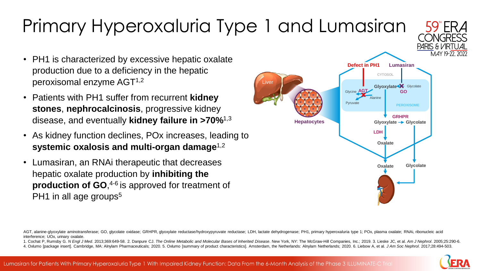### Primary Hyperoxaluria Type 1 and Lumasiran

- PH1 is characterized by excessive hepatic oxalate production due to a deficiency in the hepatic peroxisomal enzyme AGT1,2
- Patients with PH1 suffer from recurrent **kidney stones**, **nephrocalcinosis**, progressive kidney disease, and eventually **kidney failure in >70%**1,3
- As kidney function declines, POx increases, leading to **systemic oxalosis and multi-organ damage**1,2
- Lumasiran, an RNAi therapeutic that decreases hepatic oxalate production by **inhibiting the production of GO**, 4-6 is approved for treatment of PH1 in all age groups<sup>5</sup>

1. Cochat P, Rumsby G. N Engl J Med. 2013;369:649-58. 2. Danpure CJ. The Online Metabolic and Molecular Bases of Inherited Disease. New York, NY: The McGraw-Hill Companies, Inc.; 2019. 3. Lieske JC, et al. Am J Nephrol. 20

iver

4. Oxlumo [package insert]. Cambridge, MA: Alnylam Pharmaceuticals; 2020. 5. Oxlumo [summary of product characteristics]. Amsterdam, the Netherlands: Alnylam Netherlands; 2020. 6. Liebow A, et al. J Am Soc Nephrol. 2017;28





PARIS & VIRTUA

AGT, alanine-glyoxylate aminotransferase; GO, glycolate oxidase; GRHPR, glyoxylate reductase/hydroxypyruvate reductase; LDH, lactate dehydrogenase; PH1, primary hyperoxaluria type 1; POx, plasma oxalate; RNAi, ribonucleic interference; UOx, urinary oxalate.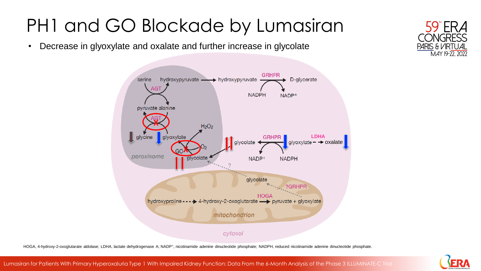## PH1 and GO Blockade by Lumasiran

• Decrease in glyoxylate and oxalate and further increase in glycolate



HOGA, 4-hydroxy-2-oxoglutarate aldolase; LDHA, lactate dehydrogenase A; NADP+, nicotinamide adenine dinucleotide phosphate; NADPH, reduced nicotinamide adenine dinucleotide phosphate.



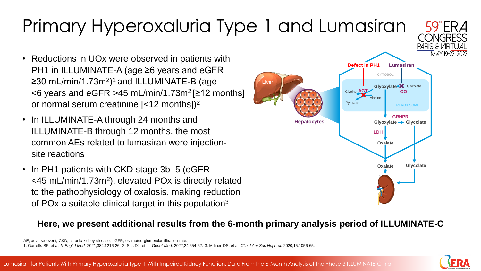#### Lumasiran for Patients With Primary Hyperoxaluria Type 1 With Impaired Kidney Function: Data From the 6-Month Analysis of the Phase 3 ILLUMINATE-C Trial

## Primary Hyperoxaluria Type 1 and Lumasiran

- Reductions in UOx were observed in patients with PH1 in ILLUMINATE-A (age ≥6 years and eGFR ≥30 mL/min/1.73m<sup>2</sup>)<sup>1</sup> and ILLUMINATE-B (age  $<6$  years and eGFR >45 mL/min/1.73m<sup>2</sup> [ $\geq$ 12 months] or normal serum creatinine  $\left[$  <12 months] $\right)^2$
- In ILLUMINATE-A through 24 months and ILLUMINATE-B through 12 months, the most common AEs related to lumasiran were injectionsite reactions
- In PH1 patients with CKD stage 3b–5 (eGFR) <45 mL/min/1.73m<sup>2</sup> ), elevated POx is directly related to the pathophysiology of oxalosis, making reduction of POx a suitable clinical target in this population<sup>3</sup>

#### **Here, we present additional results from the 6-month primary analysis period of ILLUMINATE-C**





AE, adverse event; CKD, chronic kidney disease; eGFR, estimated glomerular filtration rate.

<sup>1.</sup> Garrelfs SF, et al. *N Engl J Med.* 2021;384:1216-26. 2. Sas DJ, et al. *Genet Med.* 2022;24:654-62. 3. Milliner DS, et al. *Clin J Am Soc Nephrol*. 2020;15:1056-65.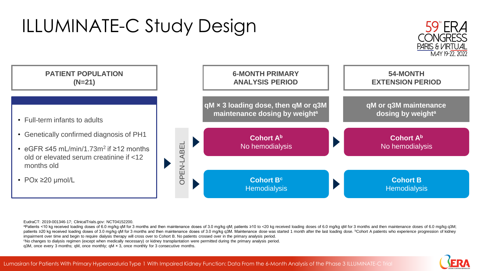# ILLUMINATE-C Study Design





#### EudraCT: 2019-001346-17; ClinicalTrials.gov: NCT04152200.

apatients <10 kg received loading doses of 6.0 mg/kg qM for 3 months and then maintenance doses of 3.0 mg/kg qM; patients ≥10 to <20 kg received loading doses of 6.0 mg/kg qM for 3 months and then maintenance doses of 3.0 patients ≥20 kg received loading doses of 3.0 mg/kg qM for 3 months and then maintenance doses of 3.0 mg/kg q3M. Maintenance dose was started 1 month after the last loading dose. <sup>b</sup>Cohort A patients who experience progre impairment over time and begin to require dialysis therapy will cross over to Cohort B. No patients crossed over in the primary analysis period.

<sup>c</sup>No changes to dialysis regimen (except when medically necessary) or kidney transplantation were permitted during the primary analysis period.

q3M, once every 3 months; qM, once monthly; qM × 3, once monthly for 3 consecutive months.

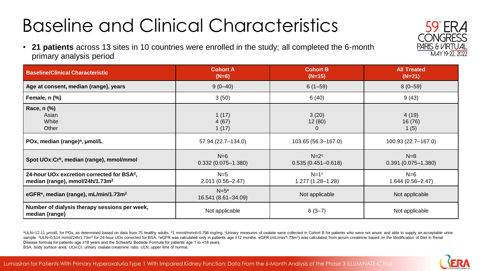## Baseline and Clinical Characteristics

• **21 patients** across 13 sites in 10 countries were enrolled in the study; all completed the 6-month primary analysis period

| <b>Baseline/Clinical Characteristic</b>                                                               | <b>Cohort A</b><br>$(N=6)$      | <b>Cohort B</b><br>$(N=15)$       |                                 |  |
|-------------------------------------------------------------------------------------------------------|---------------------------------|-----------------------------------|---------------------------------|--|
| Age at consent, median (range), years                                                                 | $9(0-40)$                       | $6(1-59)$                         | $8(0-59)$                       |  |
| Female, n (%)                                                                                         | 3(50)                           | 6(40)                             |                                 |  |
| Race, n (%)<br>Asian<br>White<br>Other                                                                | 1(17)<br>4(67)<br>1(17)         | 3(20)<br>12(80)<br>$\overline{0}$ | 4(19)<br>16(76)<br>1 $(5)$      |  |
| POx, median (range) <sup>a</sup> , µmol/L                                                             | 57.94 (22.7-134.0)              | 103.65 (56.3-167.0)               | 100.93 (22.7-167.0)             |  |
| Spot UOx:Cr <sup>b</sup> , median (range), mmol/mmol                                                  | $N=6$<br>$0.332(0.075 - 1.380)$ | $N=2c$<br>$0.535(0.451 - 0.618)$  | $N=8$<br>$0.391(0.075 - 1.380)$ |  |
| 24-hour UOx excretion corrected for BSA <sup>d</sup> ,<br>median (range), mmol/24h/1.73m <sup>2</sup> | $N=5$<br>$2.011(0.56 - 2.47)$   | $N=1c$<br>1.277 (1.28-1.28)       | $N=6$<br>$1.644(0.56 - 2.47)$   |  |
| eGFR <sup>e</sup> , median (range), mL/min/1.73m <sup>2</sup>                                         | $N = 5e$<br>16.541 (8.61-34.09) | Not applicable                    | Not applicable                  |  |
| Number of dialysis therapy sessions per week,<br>median (range)                                       | Not applicable                  | $6(3-7)$<br>Not applicable        |                                 |  |

aULN=12.11 µmol/L for POx, as determined based on data from 75 healthy adults. <sup>b</sup>1 mmol/mmol=0.796 mg/mg. <sup>c</sup>Urinary measures of oxalate were collected in Cohort B for patients who were not anuric and able to supply an ac sample. <sup>d</sup>ULN=0.514 mmol/24h/1.73m<sup>2</sup> for 24-hour UOx corrected for BSA. <sup>e</sup>eGFR was calculated only in patients age ≥12 months. eGFR (mL/min/1.73m<sup>2</sup>) was calculated from serum creatinine based on the Modification of Di Disease formula for patients age ≥18 years and the Schwartz Bedside Formula for patients age 1 to <18 years. BSA, body surface area; UOx:Cr, urinary oxalate:creatinine ratio; ULN, upper limit of normal.



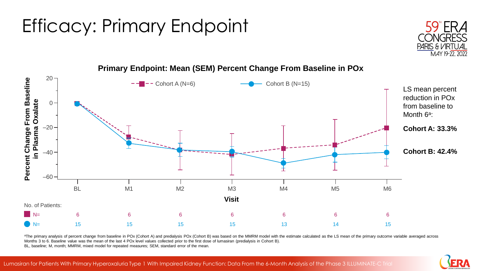## Efficacy: Primary Endpoint





#### **Primary Endpoint: Mean (SEM) Percent Change From Baseline in POx**

aThe primary analysis of percent change from baseline in POx (Cohort A) and predialysis POx (Cohort B) was based on the MMRM model with the estimate calculated as the LS mean of the primary outcome variable averaged across Months 3 to 6. Baseline value was the mean of the last 4 POx level values collected prior to the first dose of lumasiran (predialysis in Cohort B). BL, baseline; M, month; MMRM, mixed model for repeated measures; SEM, standard error of the mean.

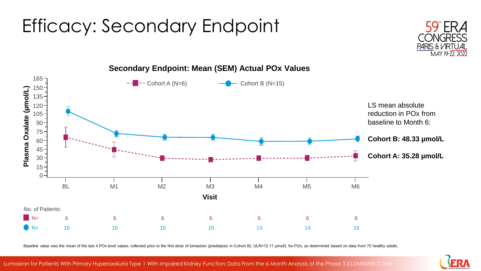## Efficacy: Secondary Endpoint





**Secondary Endpoint: Mean (SEM) Actual POx Values**

Baseline value was the mean of the last 4 POx level values collected prior to the first dose of lumasiran (predialysis in Cohort B). ULN=12.11 µmol/L for POx, as determined based on data from 75 healthy adults.

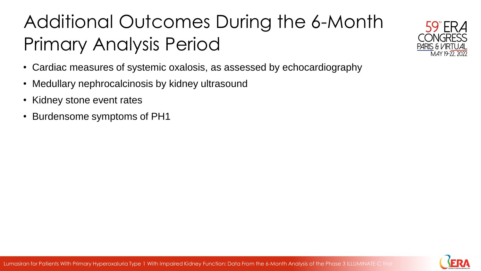# Additional Outcomes During the 6-Month Primary Analysis Period



- Medullary nephrocalcinosis by kidney ultrasound
- Kidney stone event rates
- Burdensome symptoms of PH1



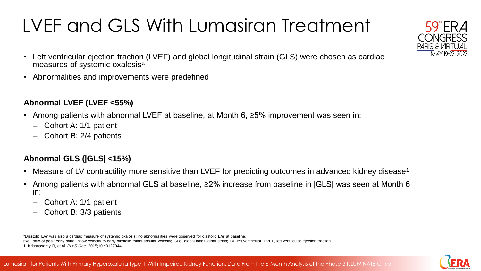# LVEF and GLS With Lumasiran Treatment

- Left ventricular ejection fraction (LVEF) and global longitudinal strain (GLS) were chosen as cardiac measures of systemic oxalosis<sup>a</sup>
- Abnormalities and improvements were predefined

#### **Abnormal LVEF (LVEF <55%)**

- Among patients with abnormal LVEF at baseline, at Month 6, ≥5% improvement was seen in:
	- ‒ Cohort A: 1/1 patient
	- ‒ Cohort B: 2/4 patients

#### **Abnormal GLS (|GLS| <15%)**

- Measure of LV contractility more sensitive than LVEF for predicting outcomes in advanced kidney disease<sup>1</sup>
- Among patients with abnormal GLS at baseline, ≥2% increase from baseline in |GLS| was seen at Month 6 in:
	- ‒ Cohort A: 1/1 patient
	- ‒ Cohort B: 3/3 patients

<sup>a</sup>Diastolic E/e' was also a cardiac measure of systemic oxalosis; no abnormalities were observed for diastolic E/e' at baseline.

E/e', ratio of peak early mitral inflow velocity to early diastolic mitral annular velocity; GLS, global longitudinal strain; LV, left ventricular; LVEF, left ventricular ejection fraction. 1. Krishnasamy R, et al. *PLoS One*. 2015;10:e0127044.



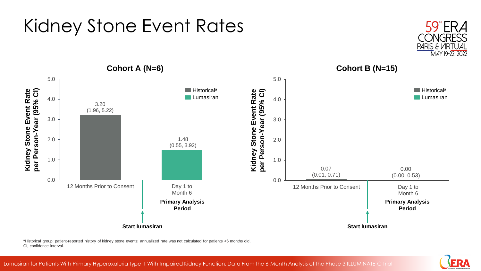

#### Kidney Stone Event Rates



aHistorical group: patient-reported history of kidney stone events; annualized rate was not calculated for patients <6 months old. CI, confidence interval.

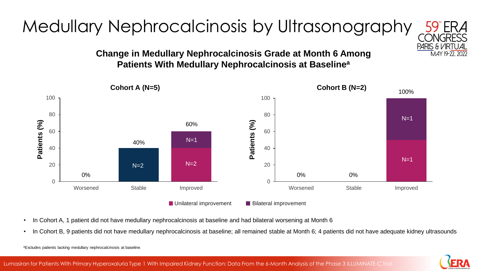## Medullary Nephrocalcinosis by Ultrasonography

#### **Change in Medullary Nephrocalcinosis Grade at Month 6 Among Patients With Medullary Nephrocalcinosis at Baseline<sup>a</sup>**



- In Cohort A, 1 patient did not have medullary nephrocalcinosis at baseline and had bilateral worsening at Month 6
- In Cohort B, 9 patients did not have medullary nephrocalcinosis at baseline; all remained stable at Month 6; 4 patients did not have adequate kidney ultrasounds



PARIS & VIRTUAL MAY 19-22, 2022

<sup>a</sup>Excludes patients lacking medullary nephrocalcinosis at baseline.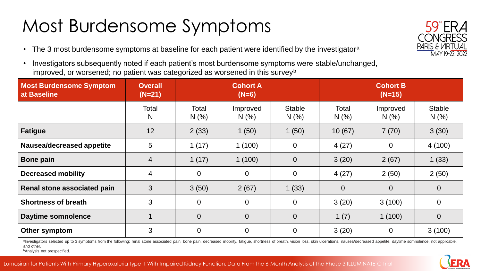## Most Burdensome Symptoms

- The 3 most burdensome symptoms at baseline for each patient were identified by the investigator<sup>a</sup>
- Investigators subsequently noted if each patient's most burdensome symptoms were stable/unchanged, improved, or worsened; no patient was categorized as worsened in this survey<sup>b</sup>

| <b>Most Burdensome Symptom</b><br>at Baseline | <b>Overall</b><br>$(N=21)$ | <b>Cohort A</b><br>$(N=6)$ |                 | <b>Cohort B</b><br>$(N=15)$ |                |                  |                      |
|-----------------------------------------------|----------------------------|----------------------------|-----------------|-----------------------------|----------------|------------------|----------------------|
|                                               | Total<br>N                 | Total<br>N(%)              | Improved<br>N(% | <b>Stable</b><br>N(%)       | Total<br>N(%)  | Improved<br>N(%) | <b>Stable</b><br>N(% |
| <b>Fatigue</b>                                | 12                         | 2(33)                      | 1(50)           | 1(50)                       | 10(67)         | 7(70)            | 3(30)                |
| Nausea/decreased appetite                     | 5                          | 1(17)                      | 1(100)          | $\overline{0}$              | 4(27)          | $\overline{0}$   | 4(100)               |
| <b>Bone pain</b>                              | $\overline{4}$             | 1(17)                      | 1(100)          | $\overline{0}$              | 3(20)          | 2(67)            | 1(33)                |
| <b>Decreased mobility</b>                     | $\overline{4}$             | $\boldsymbol{0}$           | $\overline{0}$  | $\mathbf 0$                 | 4(27)          | 2(50)            | 2(50)                |
| Renal stone associated pain                   | 3                          | 3(50)                      | 2(67)           | 1(33)                       | $\overline{0}$ | $\overline{0}$   | $\overline{0}$       |
| <b>Shortness of breath</b>                    | 3                          | $\overline{0}$             | $\overline{0}$  | $\mathbf 0$                 | 3(20)          | 3(100)           | $\overline{0}$       |
| <b>Daytime somnolence</b>                     |                            | $\overline{0}$             | $\overline{0}$  | $\overline{0}$              | 1 $(7)$        | 1(100)           | $\overline{0}$       |
| Other symptom                                 | 3                          | $\overline{0}$             | $\overline{0}$  | $\overline{0}$              | 3(20)          | $\mathbf 0$      | 3(100)               |

alnvestigators selected up to 3 symptoms from the following: renal stone associated pain, bone pain, decreased mobility, fatigue, shortness of breath, vision loss, skin ulcerations, nausea/decreased appetite, daytime somno and other.

**bAnalysis not prespecified.** 



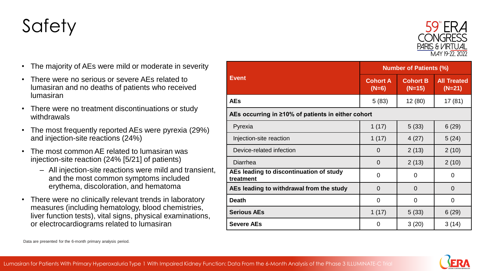### **Safety**

- The majority of AEs were mild or moderate in severity
- There were no serious or severe AEs related to lumasiran and no deaths of patients who received lumasiran
- There were no treatment discontinuations or study withdrawals
- The most frequently reported AEs were pyrexia (29%) and injection-site reactions (24%)
- The most common AE related to lumasiran was injection-site reaction (24% [5/21] of patients)
	- All injection-site reactions were mild and transient, and the most common symptoms included erythema, discoloration, and hematoma
- There were no clinically relevant trends in laboratory measures (including hematology, blood chemistries, liver function tests), vital signs, physical examinations, or electrocardiograms related to lumasiran

|                                                      | <b>Number of Patients (%)</b> |                             |                                |  |  |  |  |
|------------------------------------------------------|-------------------------------|-----------------------------|--------------------------------|--|--|--|--|
| <b>Event</b>                                         | <b>Cohort A</b><br>$(N=6)$    | <b>Cohort B</b><br>$(N=15)$ | <b>All Treated</b><br>$(N=21)$ |  |  |  |  |
| AEs                                                  | 5(83)                         | 12(80)                      | 17(81)                         |  |  |  |  |
| AEs occurring in ≥10% of patients in either cohort   |                               |                             |                                |  |  |  |  |
| Pyrexia                                              | 1(17)                         | 5(33)                       | 6(29)                          |  |  |  |  |
| Injection-site reaction                              | 1(17)                         | 4(27)                       | 5(24)                          |  |  |  |  |
| Device-related infection                             | $\overline{0}$                | 2(13)                       | 2(10)                          |  |  |  |  |
| Diarrhea                                             | $\overline{0}$                | 2(13)                       | 2(10)                          |  |  |  |  |
| AEs leading to discontinuation of study<br>treatment | $\overline{0}$                | $\overline{0}$              | $\overline{0}$                 |  |  |  |  |
| AEs leading to withdrawal from the study             | $\overline{0}$                | $\overline{0}$              | $\overline{0}$                 |  |  |  |  |
| <b>Death</b>                                         | $\overline{0}$                | $\overline{0}$              | $\overline{0}$                 |  |  |  |  |
| <b>Serious AEs</b>                                   | 1(17)                         | 5(33)                       | 6(29)                          |  |  |  |  |
| <b>Severe AEs</b>                                    | 0                             | 3(20)                       | 3(14)                          |  |  |  |  |